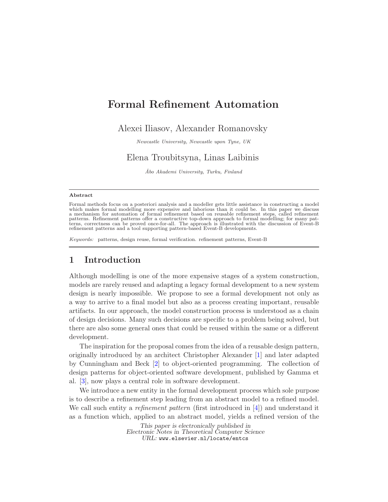# Formal Refinement Automation

Alexei Iliasov, Alexander Romanovsky

Newcastle University, Newcastle upon Tyne, UK

## Elena Troubitsyna, Linas Laibinis

˚Abo Akademi University, Turku, Finland

#### Abstract

Formal methods focus on a posteriori analysis and a modeller gets little assistance in constructing a model<br>which makes formal modelling more expensive and laborious than it could be. In this paper we discuss<br>a mechanism f refinement patterns and a tool supporting pattern-based Event-B developments.

Keywords: patterns, design reuse, formal verification. refinement patterns, Event-B

## 1 Introduction

Although modelling is one of the more expensive stages of a system construction, models are rarely reused and adapting a legacy formal development to a new system design is nearly impossible. We propose to see a formal development not only as a way to arrive to a final model but also as a process creating important, reusable artifacts. In our approach, the model construction process is understood as a chain of design decisions. Many such decisions are specific to a problem being solved, but there are also some general ones that could be reused within the same or a different development.

The inspiration for the proposal comes from the idea of a reusable design pattern, originally introduced by an architect Christopher Alexander [\[1\]](#page-14-0) and later adapted by Cunningham and Beck [\[2\]](#page-14-1) to object-oriented programming. The collection of design patterns for object-oriented software development, published by Gamma et al. [\[3\]](#page-14-2), now plays a central role in software development.

We introduce a new entity in the formal development process which sole purpose is to describe a refinement step leading from an abstract model to a refined model. We call such entity a *refinement pattern* (first introduced in  $[4]$ ) and understand it as a function which, applied to an abstract model, yields a refined version of the

> This paper is electronically published in Electronic Notes in Theoretical Computer Science URL: www.elsevier.nl/locate/entcs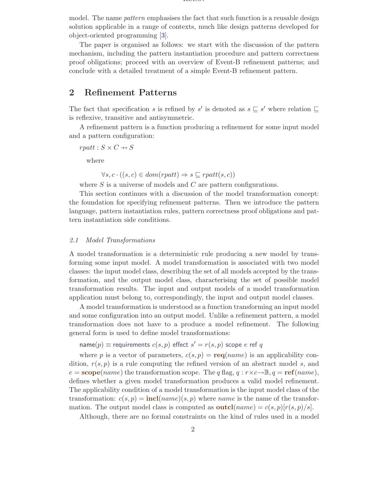model. The name *pattern* emphasises the fact that such function is a reusable design solution applicable in a range of contexts, much like design patterns developed for object-oriented programming [\[3\]](#page-14-2).

The paper is organised as follows: we start with the discussion of the pattern mechanism, including the pattern instantiation procedure and pattern correctness proof obligations; proceed with an overview of Event-B refinement patterns; and conclude with a detailed treatment of a simple Event-B refinement pattern.

## 2 Refinement Patterns

The fact that specification s is refined by s' is denoted as  $s \subseteq s'$  where relation  $\subseteq$ is reflexive, transitive and antisymmetric.

A refinement pattern is a function producing a refinement for some input model and a pattern configuration:

 $rpath: S \times C \rightarrow S$ 

where

 $\forall s, c \cdot ((s, c) \in dom(rpath) \Rightarrow s \sqsubseteq rpath(s, c))$ 

where  $S$  is a universe of models and  $C$  are pattern configurations.

This section continues with a discussion of the model transformation concept: the foundation for specifying refinement patterns. Then we introduce the pattern language, pattern instantiation rules, pattern correctness proof obligations and pattern instantiation side conditions.

#### 2.1 Model Transformations

A model transformation is a deterministic rule producing a new model by transforming some input model. A model transformation is associated with two model classes: the input model class, describing the set of all models accepted by the transformation, and the output model class, characterising the set of possible model transformation results. The input and output models of a model transformation application must belong to, correspondingly, the input and output model classes.

A model transformation is understood as a function transforming an input model and some configuration into an output model. Unlike a refinement pattern, a model transformation does not have to a produce a model refinement. The following general form is used to define model transformations:

 $name(p) \equiv$  requirements  $c(s, p)$  effect  $s' = r(s, p)$  scope e ref q

where p is a vector of parameters,  $c(s, p) = \text{req}(name)$  is an applicability condition,  $r(s, p)$  is a rule computing the refined version of an abstract model s, and  $e = \mathbf{scope}(name)$  the transformation scope. The q flag,  $q : r \times c \rightarrow \mathbb{B}$ ,  $q = \mathbf{ref}(name)$ , defines whether a given model transformation produces a valid model refinement. The applicability condition of a model transformation is the input model class of the transformation:  $c(s, p) = \text{incl}(name)(s, p)$  where name is the name of the transformation. The output model class is computed as **outcl**(*name*) =  $c(s, p)[r(s, p)/s]$ .

Although, there are no formal constraints on the kind of rules used in a model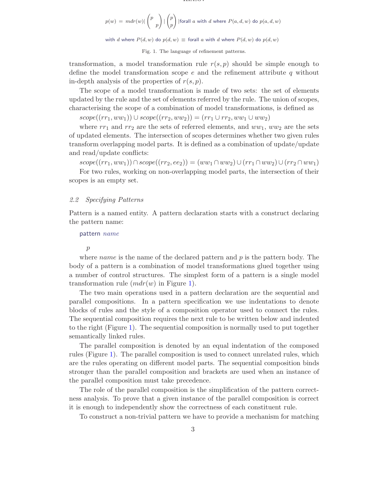$$
p(w) = m dr(w) | \binom{p}{p} | \binom{p}{p} |
$$
 for all  $a$  with  $d$  where  $P(a, d, w)$  do  $p(a, d, w)$ 

<span id="page-2-0"></span>with d where  $P(d, w)$  do  $p(d, w) \equiv$  forall a with d where  $P(d, w)$  do  $p(d, w)$ 

Fig. 1. The language of refinement patterns.

transformation, a model transformation rule  $r(s,p)$  should be simple enough to define the model transformation scope  $e$  and the refinement attribute q without in-depth analysis of the properties of  $r(s, p)$ .

The scope of a model transformation is made of two sets: the set of elements updated by the rule and the set of elements referred by the rule. The union of scopes, characterising the scope of a combination of model transformations, is defined as

 $scope((rr_1,ww_1)) \cup scope((rr_2,ww_2)) = (rr_1 \cup rr_2,ww_1 \cup ww_2)$ 

where  $rr_1$  and  $rr_2$  are the sets of referred elements, and  $ww_1$ ,  $ww_2$  are the sets of updated elements. The intersection of scopes determines whether two given rules transform overlapping model parts. It is defined as a combination of update/update and read/update conflicts:

 $scope((rr_1,ww_1)) \cap scope((rr_2,ee_2)) = (ww_1 \cap ww_2) \cup (rr_1 \cap ww_2) \cup (rr_2 \cap ww_1)$ 

For two rules, working on non-overlapping model parts, the intersection of their scopes is an empty set.

#### 2.2 Specifying Patterns

Pattern is a named entity. A pattern declaration starts with a construct declaring the pattern name:

#### pattern name

### p

where *name* is the name of the declared pattern and  $p$  is the pattern body. The body of a pattern is a combination of model transformations glued together using a number of control structures. The simplest form of a pattern is a single model transformation rule  $(mdr(w)$  in Figure [1\)](#page-2-0).

The two main operations used in a pattern declaration are the sequential and parallel compositions. In a pattern specification we use indentations to denote blocks of rules and the style of a composition operator used to connect the rules. The sequential composition requires the next rule to be written below and indented to the right (Figure [1\)](#page-2-0). The sequential composition is normally used to put together semantically linked rules.

The parallel composition is denoted by an equal indentation of the composed rules (Figure [1\)](#page-2-0). The parallel composition is used to connect unrelated rules, which are the rules operating on different model parts. The sequential composition binds stronger than the parallel composition and brackets are used when an instance of the parallel composition must take precedence.

The role of the parallel composition is the simplification of the pattern correctness analysis. To prove that a given instance of the parallel composition is correct it is enough to independently show the correctness of each constituent rule.

To construct a non-trivial pattern we have to provide a mechanism for matching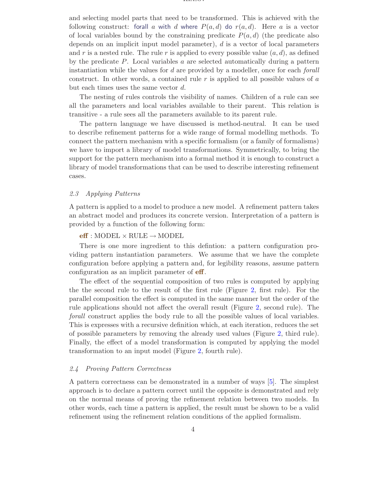and selecting model parts that need to be transformed. This is achieved with the following construct: forall a with d where  $P(a,d)$  do  $r(a,d)$ . Here a is a vector of local variables bound by the constraining predicate  $P(a, d)$  (the predicate also depends on an implicit input model parameter), d is a vector of local parameters and r is a nested rule. The rule r is applied to every possible value  $(a, d)$ , as defined by the predicate  $P$ . Local variables  $a$  are selected automatically during a pattern instantiation while the values for  $d$  are provided by a modeller, once for each *forall* construct. In other words, a contained rule  $r$  is applied to all possible values of  $a$ but each times uses the same vector d.

The nesting of rules controls the visibility of names. Children of a rule can see all the parameters and local variables available to their parent. This relation is transitive - a rule sees all the parameters available to its parent rule.

The pattern language we have discussed is method-neutral. It can be used to describe refinement patterns for a wide range of formal modelling methods. To connect the pattern mechanism with a specific formalism (or a family of formalisms) we have to import a library of model transformations. Symmetrically, to bring the support for the pattern mechanism into a formal method it is enough to construct a library of model transformations that can be used to describe interesting refinement cases.

#### 2.3 Applying Patterns

A pattern is applied to a model to produce a new model. A refinement pattern takes an abstract model and produces its concrete version. Interpretation of a pattern is provided by a function of the following form:

#### $\textbf{eff}: \text{MODEL} \times \text{RULE} \rightarrow \text{MODEL}$

There is one more ingredient to this defintion: a pattern configuration providing pattern instantiation parameters. We assume that we have the complete configuration before applying a pattern and, for legibility reasons, assume pattern configuration as an implicit parameter of **eff**.

The effect of the sequential composition of two rules is computed by applying the the second rule to the result of the first rule (Figure [2,](#page-4-0) first rule). For the parallel composition the effect is computed in the same manner but the order of the rule applications should not affect the overall result (Figure [2,](#page-4-0) second rule). The forall construct applies the body rule to all the possible values of local variables. This is expresses with a recursive definition which, at each iteration, reduces the set of possible parameters by removing the already used values (Figure [2,](#page-4-0) third rule). Finally, the effect of a model transformation is computed by applying the model transformation to an input model (Figure [2,](#page-4-0) fourth rule).

#### 2.4 Proving Pattern Correctness

A pattern correctness can be demonstrated in a number of ways [\[5\]](#page-14-4). The simplest approach is to declare a pattern correct until the opposite is demonstrated and rely on the normal means of proving the refinement relation between two models. In other words, each time a pattern is applied, the result must be shown to be a valid refinement using the refinement relation conditions of the applied formalism.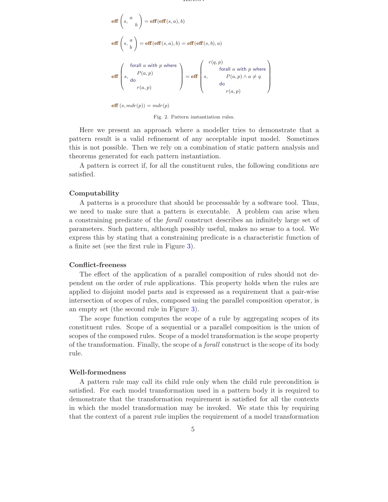$$
\begin{aligned}\n\text{eff} \left( s, \begin{array}{c} a \\ b \end{array} \right) &= \text{eff}(\text{eff}(s, a), b) \\
\text{eff} \left( s, \begin{array}{c} a \\ b \end{array} \right) &= \text{eff}(\text{eff}(s, a), b) = \text{eff}(\text{eff}(s, b), a) \\
\text{eff} \left( s, \begin{array}{c} \text{for all } a \text{ with } p \text{ where} \\ P(a, p) \\ \text{do} \\ r(a, p) \end{array} \right) &= \text{eff} \left( s, \begin{array}{c} r(q, p) \\ \text{for all } a \text{ with } p \text{ where} \\ P(a, p) \land a \neq q \\ \text{do} \\ r(a, p) \end{array} \right)\n\end{aligned}
$$

<span id="page-4-0"></span>Fig. 2. Pattern instantiation rules.

Here we present an approach where a modeller tries to demonstrate that a pattern result is a valid refinement of any acceptable input model. Sometimes this is not possible. Then we rely on a combination of static pattern analysis and theorems generated for each pattern instantiation.

A pattern is correct if, for all the constituent rules, the following conditions are satisfied.

#### Computability

A patterns is a procedure that should be processable by a software tool. Thus, we need to make sure that a pattern is executable. A problem can arise when a constraining predicate of the forall construct describes an infinitely large set of parameters. Such pattern, although possibly useful, makes no sense to a tool. We express this by stating that a constraining predicate is a characteristic function of a finite set (see the first rule in Figure [3\)](#page-5-0).

### Conflict-freeness

The effect of the application of a parallel composition of rules should not dependent on the order of rule applications. This property holds when the rules are applied to disjoint model parts and is expressed as a requirement that a pair-wise intersection of scopes of rules, composed using the parallel composition operator, is an empty set (the second rule in Figure [3\)](#page-5-0).

The scope function computes the scope of a rule by aggregating scopes of its constituent rules. Scope of a sequential or a parallel composition is the union of scopes of the composed rules. Scope of a model transformation is the scope property of the transformation. Finally, the scope of a forall construct is the scope of its body rule.

#### Well-formedness

A pattern rule may call its child rule only when the child rule precondition is satisfied. For each model transformation used in a pattern body it is required to demonstrate that the transformation requirement is satisfied for all the contexts in which the model transformation may be invoked. We state this by requiring that the context of a parent rule implies the requirement of a model transformation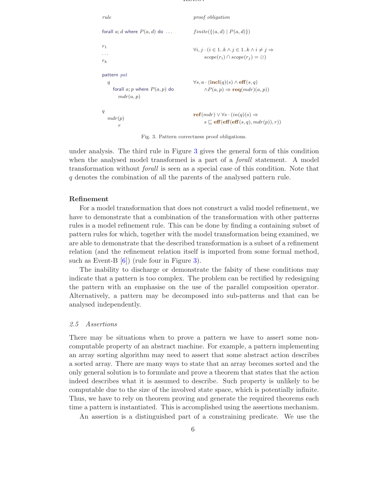```
Iliasov
```

```
rule proof obligation
forall a; d where P(a, d) do ... finite({{(a, d) | P(a, d)}})r_1. . .
r_k\forall i, j \cdot (i \in 1..k \wedge j \in 1..k \wedge i \neq j \Rightarrowscope(r_i) \cap scope(r_i) = \emptysetpattern pat
   \overline{q}forall a; p where P(a, p) do
         mdr(a, p)\forall s, a \cdot (incl(g)(s) \wedge eff(s, q))\wedge P(a, p) \Rightarrow \text{req}(mdr)(a, p))q
   mdr(p)r
                                                     \textbf{ref}(mdr) \vee \forall s \cdot (in(q)(s) \Rightarrows \subseteq \text{eff}(\text{eff}(\text{eff}(s,q),mdr(p)),r))
```
<span id="page-5-0"></span>Fig. 3. Pattern correctness proof obligations.

under analysis. The third rule in Figure [3](#page-5-0) gives the general form of this condition when the analysed model transformed is a part of a *forall* statement. A model transformation without forall is seen as a special case of this condition. Note that q denotes the combination of all the parents of the analysed pattern rule.

#### Refinement

For a model transformation that does not construct a valid model refinement, we have to demonstrate that a combination of the transformation with other patterns rules is a model refinement rule. This can be done by finding a containing subset of pattern rules for which, together with the model transformation being examined, we are able to demonstrate that the described transformation is a subset of a refinement relation (and the refinement relation itself is imported from some formal method, such as Event-B [\[6\]](#page-14-5)) (rule four in Figure [3\)](#page-5-0).

The inability to discharge or demonstrate the falsity of these conditions may indicate that a pattern is too complex. The problem can be rectified by redesigning the pattern with an emphasise on the use of the parallel composition operator. Alternatively, a pattern may be decomposed into sub-patterns and that can be analysed independently.

#### 2.5 Assertions

There may be situations when to prove a pattern we have to assert some noncomputable property of an abstract machine. For example, a pattern implementing an array sorting algorithm may need to assert that some abstract action describes a sorted array. There are many ways to state that an array becomes sorted and the only general solution is to formulate and prove a theorem that states that the action indeed describes what it is assumed to describe. Such property is unlikely to be computable due to the size of the involved state space, which is potentially infinite. Thus, we have to rely on theorem proving and generate the required theorems each time a pattern is instantiated. This is accomplished using the assertions mechanism.

An assertion is a distinguished part of a constraining predicate. We use the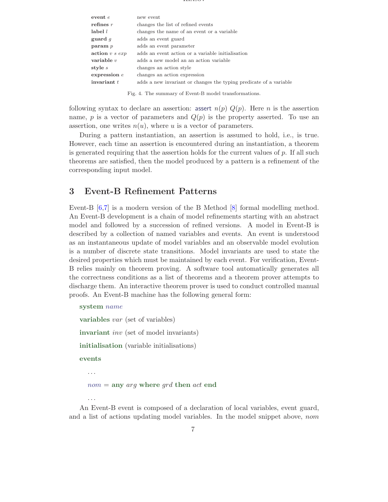| event e                   | new event.                                                         |
|---------------------------|--------------------------------------------------------------------|
| refines $r$               | changes the list of refined events                                 |
| label $l$                 | changes the name of an event or a variable                         |
| guard $q$                 | adds an event guard                                                |
| $param$ $p$               | adds an event parameter                                            |
| $action \, v \, s \, exp$ | adds an event action or a variable initialisation                  |
| variable $v$              | adds a new model an an action variable                             |
| style $s$                 | changes an action style                                            |
| expression $e$            | changes an action expression                                       |
| invariant $t$             | adds a new invariant or changes the typing predicate of a variable |
|                           |                                                                    |

<span id="page-6-0"></span>Fig. 4. The summary of Event-B model transformations.

following syntax to declare an assertion: assert  $n(p) Q(p)$ . Here n is the assertion name, p is a vector of parameters and  $Q(p)$  is the property asserted. To use an assertion, one writes  $n(u)$ , where u is a vector of parameters.

During a pattern instantiation, an assertion is assumed to hold, i.e., is true. However, each time an assertion is encountered during an instantiation, a theorem is generated requiring that the assertion holds for the current values of  $p$ . If all such theorems are satisfied, then the model produced by a pattern is a refinement of the corresponding input model.

## 3 Event-B Refinement Patterns

Event-B [\[6](#page-14-5)[,7\]](#page-14-6) is a modern version of the B Method [\[8\]](#page-14-7) formal modelling method. An Event-B development is a chain of model refinements starting with an abstract model and followed by a succession of refined versions. A model in Event-B is described by a collection of named variables and events. An event is understood as an instantaneous update of model variables and an observable model evolution is a number of discrete state transitions. Model invariants are used to state the desired properties which must be maintained by each event. For verification, Event-B relies mainly on theorem proving. A software tool automatically generates all the correctness conditions as a list of theorems and a theorem prover attempts to discharge them. An interactive theorem prover is used to conduct controlled manual proofs. An Event-B machine has the following general form:

```
system name
variables var (set of variables)
invariant inv (set of model invariants)
initialisation (variable initialisations)
events
   ...
```
 $nom =$  any  $arg$  where  $grd$  then  $act$  end

...

An Event-B event is composed of a declaration of local variables, event guard, and a list of actions updating model variables. In the model snippet above, nom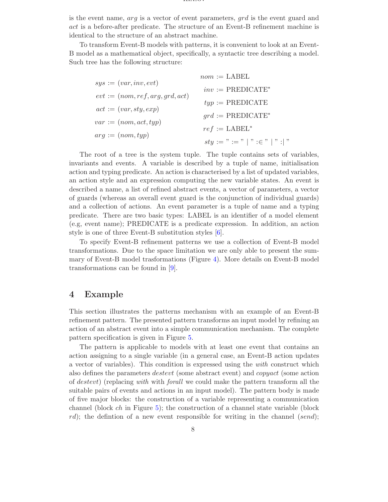is the event name, arg is a vector of event parameters, grd is the event guard and act is a before-after predicate. The structure of an Event-B refinement machine is identical to the structure of an abstract machine.

To transform Event-B models with patterns, it is convenient to look at an Event-B model as a mathematical object, specifically, a syntactic tree describing a model. Such tree has the following structure:

|                                    | $nom := LABEL$                        |
|------------------------------------|---------------------------------------|
| $sys := (var, inv, evt)$           | $inv := PREDICATE^*$                  |
| $evt := (nom, ref, arg, grd, act)$ | $typ := PREDICATE$                    |
| $act := (var, sty, exp)$           | $qrd := \text{PREDICATE*}$            |
| $var := (nom, act, typ)$           | $ref := LABEL^*$                      |
| $arg := (nom, typ)$                | $sty := " := "   " : \in "   " :   "$ |

The root of a tree is the system tuple. The tuple contains sets of variables, invariants and events. A variable is described by a tuple of name, initialisation action and typing predicate. An action is characterised by a list of updated variables, an action style and an expression computing the new variable states. An event is described a name, a list of refined abstract events, a vector of parameters, a vector of guards (whereas an overall event guard is the conjunction of individual guards) and a collection of actions. An event parameter is a tuple of name and a typing predicate. There are two basic types: LABEL is an identifier of a model element (e.g, event name); PREDICATE is a predicate expression. In addition, an action style is one of three Event-B substitution styles [\[6\]](#page-14-5).

To specify Event-B refinement patterns we use a collection of Event-B model transformations. Due to the space limitation we are only able to present the summary of Event-B model trasformations (Figure [4\)](#page-6-0). More details on Event-B model transformations can be found in [\[9\]](#page-14-8).

## 4 Example

This section illustrates the patterns mechanism with an example of an Event-B refinement pattern. The presented pattern transforms an input model by refining an action of an abstract event into a simple communication mechanism. The complete pattern specification is given in Figure [5.](#page-8-0)

The pattern is applicable to models with at least one event that contains an action assigning to a single variable (in a general case, an Event-B action updates a vector of variables). This condition is expressed using the with construct which also defines the parameters destevt (some abstract event) and copyact (some action of destevt) (replacing with with forall we could make the pattern transform all the suitable pairs of events and actions in an input model). The pattern body is made of five major blocks: the construction of a variable representing a communication channel (block ch in Figure [5\)](#page-8-0); the construction of a channel state variable (block rd); the defintion of a new event responsible for writing in the channel (send);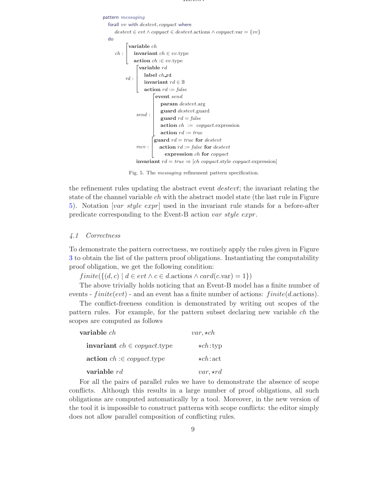```
Iliasov
```

```
pattern messaging
  forall vv with destevt, copyact where
      destevt ∈ evt ∧ copyact ∈ destevt.actions ∧ copyact.var = {vv}
  do
      ch :
            \sqrt{\frac{2}{n}}\overline{1}4
                invariant ch \in vv.\mathsf{type}action ch \, \in vv.\text{type}\operatorname{rd} :
                  \sqrt{\frac{2}{r}}6
                  \overline{1}6
                  4
                      label ch rd
                      invariant rd \in \mathbb{B}action rd := falsesend:event send
                           \overline{1}\overline{a}\overline{1}\overline{1}\overline{1}\overline{1}\overline{1}4
                               param destevt.arg
                               guard destevt.guard
                               guard rd = falseaction ch := copyact.expression
                              action rd := truerecv :
                          \intguard rd = true for destevt
                          6
                          4
                             action rd := false for destevt
                                 expression ch for copyact
                  invariant rd = true \Rightarrow [ch \text{ copyact}].style \text{copyact}.expression]
```
<span id="page-8-0"></span>Fig. 5. The messaging refinement pattern specification.

the refinement rules updating the abstract event destevt; the invariant relating the state of the channel variable ch with the abstract model state (the last rule in Figure [5\)](#page-8-0). Notation [var style expr] used in the invariant rule stands for a before-after predicate corresponding to the Event-B action var style expr.

#### 4.1 Correctness

To demonstrate the pattern correctness, we routinely apply the rules given in Figure [3](#page-5-0) to obtain the list of the pattern proof obligations. Instantiating the computability proof obligation, we get the following condition:

 $finite({ (d, c) | d \in \text{evt} \land c \in d}.\text{actions} \land \text{card}(c.\text{var}) = 1})$ 

The above trivially holds noticing that an Event-B model has a finite number of events -  $finite(evt)$  - and an event has a finite number of actions:  $finite(d.\text{actions})$ .

The conflict-freeness condition is demonstrated by writing out scopes of the pattern rules. For example, for the pattern subset declaring new variable ch the scopes are computed as follows

| variable <i>ch</i>                     | $var, \star ch$        |
|----------------------------------------|------------------------|
| invariant $ch \in copyact.\text{type}$ | $\star ch: \text{typ}$ |
| action $ch \in copyact.\text{type}$    | $\star ch$ : act       |
| variable rd                            | $var, \star rd$        |

For all the pairs of parallel rules we have to demonstrate the absence of scope conflicts. Although this results in a large number of proof obligations, all such obligations are computed automatically by a tool. Moreover, in the new version of the tool it is impossible to construct patterns with scope conflicts: the editor simply does not allow parallel composition of conflicting rules.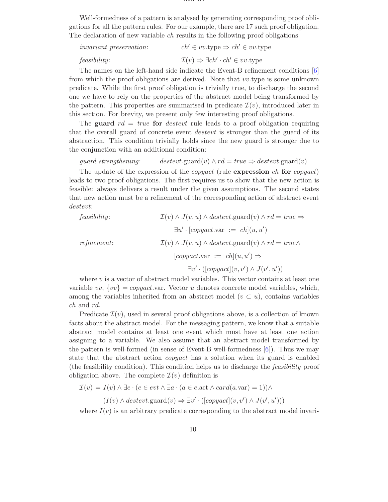Well-formedness of a pattern is analysed by generating corresponding proof obligations for all the pattern rules. For our example, there are 17 such proof obligation. The declaration of new variable ch results in the following proof obligations

| <i>invariant preservation:</i> | $ch' \in vv.\text{type} \Rightarrow ch' \in vv.\text{type}$           |
|--------------------------------|-----------------------------------------------------------------------|
| feasibility:                   | $\mathcal{I}(v) \Rightarrow \exists ch' \cdot ch' \in vv.\text{type}$ |

The names on the left-hand side indicate the Event-B refinement conditions [\[6\]](#page-14-5) from which the proof obligations are derived. Note that vv.type is some unknown predicate. While the first proof obligation is trivially true, to discharge the second one we have to rely on the properties of the abstract model being transformed by the pattern. This properties are summarised in predicate  $\mathcal{I}(v)$ , introduced later in this section. For brevity, we present only few interesting proof obligations.

The guard  $rd = true$  for *destevt* rule leads to a proof obligation requiring that the overall guard of concrete event destevt is stronger than the guard of its abstraction. This condition trivially holds since the new guard is stronger due to the conjunction with an additional condition:

guard strengthening: destevt.guard $(v) \wedge rd = true \Rightarrow destevt$ .guard $(v)$ 

The update of the expression of the *copyact* (rule **expression** ch **for** copyact) leads to two proof obligations. The first requires us to show that the new action is feasible: always delivers a result under the given assumptions. The second states that new action must be a refinement of the corresponding action of abstract event destevt:

$$
\begin{aligned}\n\text{feasibility:} &\qquad \mathcal{I}(v) \land J(v, u) \land \text{destevt.guard}(v) \land rd = true \Rightarrow \\
&\exists u' \cdot [\text{copyact.var} := \text{ch}](u, u') \\
\text{refinement:} &\qquad \mathcal{I}(v) \land J(v, u) \land \text{destevt.guard}(v) \land rd = true \land \\
& [\text{copyact.var} := \text{ch}](u, u') \Rightarrow \\
&\exists v' \cdot ([\text{copyact}](v, v') \land J(v', u'))\n\end{aligned}
$$

where  $v$  is a vector of abstract model variables. This vector contains at least one variable vv,  $\{vv\} = copyact$ . Vector u denotes concrete model variables, which, among the variables inherited from an abstract model ( $v \subset u$ ), contains variables ch and rd.

Predicate  $\mathcal{I}(v)$ , used in several proof obligations above, is a collection of known facts about the abstract model. For the messaging pattern, we know that a suitable abstract model contains at least one event which must have at least one action assigning to a variable. We also assume that an abstract model transformed by the pattern is well-formed (in sense of Event-B well-formedness [\[6\]](#page-14-5)). Thus we may state that the abstract action copyact has a solution when its guard is enabled (the feasibility condition). This condition helps us to discharge the feasibility proof obligation above. The complete  $\mathcal{I}(v)$  definition is

$$
\mathcal{I}(v) = I(v) \land \exists e \cdot (e \in \text{evt} \land \exists a \cdot (a \in e.\text{act} \land \text{card}(a.\text{var}) = 1)) \land
$$

 $(I(v) \wedge \text{destevt.guard}(v) \Rightarrow \exists v' \cdot ([\text{copyact}](v, v') \wedge J(v', u')))$ 

where  $I(v)$  is an arbitrary predicate corresponding to the abstract model invari-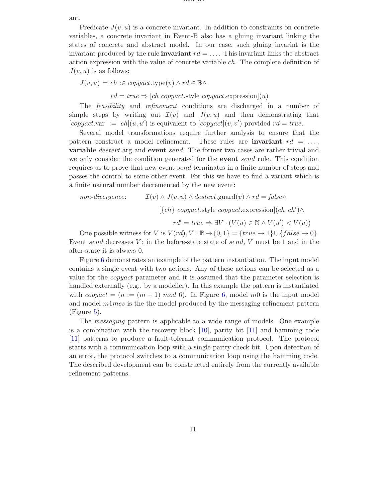ant.

Predicate  $J(v, u)$  is a concrete invariant. In addition to constraints on concrete variables, a concrete invariant in Event-B also has a gluing invariant linking the states of concrete and abstract model. In our case, such gluing invarint is the invariant produced by the rule **invariant**  $rd = \ldots$ . This invariant links the abstract action expression with the value of concrete variable ch. The complete definition of  $J(v, u)$  is as follows:

$$
J(v, u) = ch := copyact.\text{type}(v) \land rd \in \mathbb{B} \land
$$

$$
rd = true \Rightarrow [ch \text{ copyact}.\text{style copyact}.\text{expression}](u)
$$

The feasibility and refinement conditions are discharged in a number of

simple steps by writing out  $\mathcal{I}(v)$  and  $J(v, u)$  and then demonstrating that [copyact.var := ch] $(u, u')$  is equivalent to [copyact] $(v, v')$  provided  $rd = true$ .

Several model transformations require further analysis to ensure that the pattern construct a model refinement. These rules are **invariant**  $rd = \ldots$ , **variable** destevt.arg and **event** send. The former two cases are rather trivial and we only consider the condition generated for the **event** send rule. This condition requires us to prove that new event send terminates in a finite number of steps and passes the control to some other event. For this we have to find a variant which is a finite natural number decremented by the new event:

non-divergence:  $\mathcal{I}(v) \wedge J(v, u) \wedge destevt.\text{guard}(v) \wedge rd = false \wedge$  $[\{ch\} copyact.\text{style copyact.}$ expression $](ch, ch') \wedge$  $rd' = true \Rightarrow \exists V \cdot (V(u) \in \mathbb{N} \wedge V(u') < V(u))$ 

One possible witness for V is  $V(rd), V : \mathbb{B} \to \{0,1\} = \{true \mapsto 1\} \cup \{false \mapsto 0\}.$ Event send decreases  $V$ : in the before-state state of send,  $V$  must be 1 and in the after-state it is always 0.

Figure [6](#page-11-0) demonstrates an example of the pattern instantiation. The input model contains a single event with two actions. Any of these actions can be selected as a value for the copyact parameter and it is assumed that the parameter selection is handled externally (e.g., by a modeller). In this example the pattern is instantiated with copyact  $=(n := (m + 1) \mod 6)$ . In Figure [6,](#page-11-0) model m0 is the input model and model  $m1mes$  is the the model produced by the messaging refinement pattern (Figure [5\)](#page-8-0).

The messaging pattern is applicable to a wide range of models. One example is a combination with the recovery block  $[10]$ , parity bit  $[11]$  and hamming code [\[11\]](#page-14-10) patterns to produce a fault-tolerant communication protocol. The protocol starts with a communication loop with a single parity check bit. Upon detection of an error, the protocol switches to a communication loop using the hamming code. The described development can be constructed entirely from the currently available refinement patterns.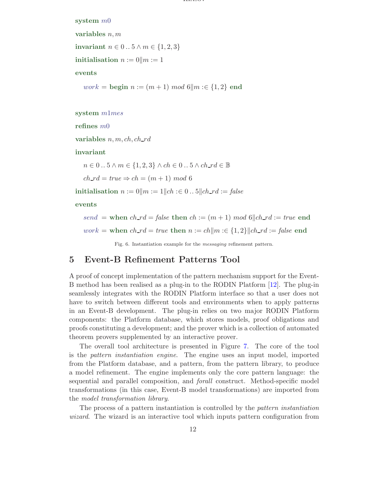system  $m0$ variables  $n, m$ invariant  $n \in 0...5 \wedge m \in \{1,2,3\}$ initialisation  $n := 0||m := 1$ events  $work = \text{begin } n := (m+1) \text{ mod } 6 | m : \in \{1,2\} \text{ end}$ 

system m1mes

refines  $m0$ 

variables  $n, m, ch, ch$ -rd

invariant

 $n \in 0 \dots 5 \land m \in \{1, 2, 3\} \land ch \in 0 \dots 5 \land ch\_rd \in \mathbb{B}$ 

 $ch\_rd = true \Rightarrow ch = (m + 1) \mod 6$ 

initialisation  $n := 0||m := 1||ch : \in 0..5||ch_rtd := false$ 

events

$$
send = \text{when } ch\_rd = false \text{ then } ch := (m+1) \text{ mod } 6 || ch\_rd := true \text{ end}
$$
\n
$$
work = \text{when } ch\_rd = true \text{ then } n := ch || m := \{1, 2\} || ch\_rd := false \text{ end}
$$

Fig. 6. Instantiation example for the messaging refinement pattern.

## <span id="page-11-0"></span>5 Event-B Refinement Patterns Tool

A proof of concept implementation of the pattern mechanism support for the Event-B method has been realised as a plug-in to the RODIN Platform [\[12\]](#page-14-11). The plug-in seamlessly integrates with the RODIN Platform interface so that a user does not have to switch between different tools and environments when to apply patterns in an Event-B development. The plug-in relies on two major RODIN Platform components: the Platform database, which stores models, proof obligations and proofs constituting a development; and the prover which is a collection of automated theorem provers supplemented by an interactive prover.

The overall tool architecture is presented in Figure [7.](#page-12-0) The core of the tool is the pattern instantiation engine. The engine uses an input model, imported from the Platform database, and a pattern, from the pattern library, to produce a model refinement. The engine implements only the core pattern language: the sequential and parallel composition, and forall construct. Method-specific model transformations (in this case, Event-B model transformations) are imported from the model transformation library.

The process of a pattern instantiation is controlled by the pattern instantiation wizard. The wizard is an interactive tool which inputs pattern configuration from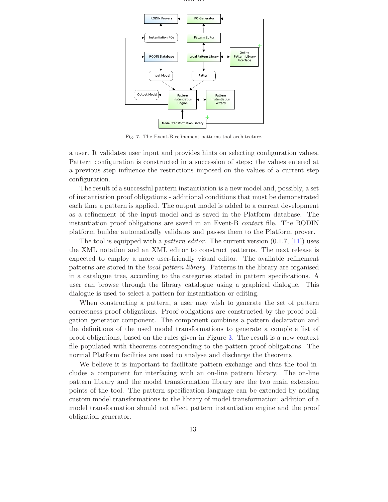



<span id="page-12-0"></span>Fig. 7. The Event-B refinement patterns tool architecture.

a user. It validates user input and provides hints on selecting configuration values. Pattern configuration is constructed in a succession of steps: the values entered at a previous step influence the restrictions imposed on the values of a current step configuration.

The result of a successful pattern instantiation is a new model and, possibly, a set of instantiation proof obligations - additional conditions that must be demonstrated each time a pattern is applied. The output model is added to a current development as a refinement of the input model and is saved in the Platform database. The instantiation proof obligations are saved in an Event-B context file. The RODIN platform builder automatically validates and passes them to the Platform prover.

The tool is equipped with a *pattern editor*. The current version  $(0.1.7, 11)$  uses the XML notation and an XML editor to construct patterns. The next release is expected to employ a more user-friendly visual editor. The available refinement patterns are stored in the local pattern library. Patterns in the library are organised in a catalogue tree, according to the categories stated in pattern specifications. A user can browse through the library catalogue using a graphical dialogue. This dialogue is used to select a pattern for instantiation or editing.

When constructing a pattern, a user may wish to generate the set of pattern correctness proof obligations. Proof obligations are constructed by the proof obligation generator component. The component combines a pattern declaration and the definitions of the used model transformations to generate a complete list of proof obligations, based on the rules given in Figure [3.](#page-5-0) The result is a new context file populated with theorems corresponding to the pattern proof obligations. The normal Platform facilities are used to analyse and discharge the theorems

We believe it is important to facilitate pattern exchange and thus the tool includes a component for interfacing with an on-line pattern library. The on-line pattern library and the model transformation library are the two main extension points of the tool. The pattern specification language can be extended by adding custom model transformations to the library of model transformation; addition of a model transformation should not affect pattern instantiation engine and the proof obligation generator.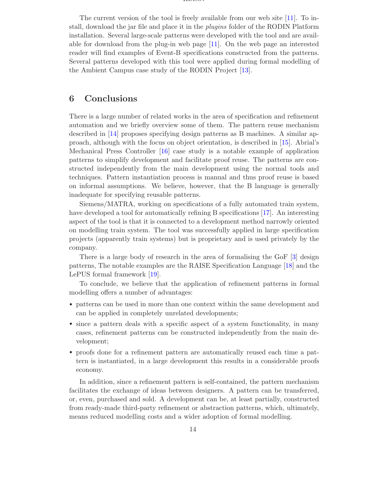The current version of the tool is freely available from our web site [\[11\]](#page-14-10). To install, download the jar file and place it in the plugins folder of the RODIN Platform installation. Several large-scale patterns were developed with the tool and are available for download from the plug-in web page [\[11\]](#page-14-10). On the web page an interested reader will find examples of Event-B specifications constructed from the patterns. Several patterns developed with this tool were applied during formal modelling of the Ambient Campus case study of the RODIN Project [\[13\]](#page-14-12).

## 6 Conclusions

There is a large number of related works in the area of specification and refinement automation and we briefly overview some of them. The pattern reuse mechanism described in [\[14\]](#page-14-13) proposes specifying design patterns as B machines. A similar approach, although with the focus on object orientation, is described in [\[15\]](#page-14-14). Abrial's Mechanical Press Controller [\[16\]](#page-14-15) case study is a notable example of application patterns to simplify development and facilitate proof reuse. The patterns are constructed independently from the main development using the normal tools and techniques. Pattern instantiation process is manual and thus proof reuse is based on informal assumptions. We believe, however, that the B language is generally inadequate for specifying reusable patterns.

Siemens/MATRA, working on specifications of a fully automated train system, have developed a tool for automatically refining B specifications [\[17\]](#page-14-16). An interesting aspect of the tool is that it is connected to a development method narrowly oriented on modelling train system. The tool was successfully applied in large specification projects (apparently train systems) but is proprietary and is used privately by the company.

There is a large body of research in the area of formalising the GoF [\[3\]](#page-14-2) design patterns, The notable examples are the RAISE Specification Language [\[18\]](#page-14-17) and the LePUS formal framework [\[19\]](#page-14-18).

To conclude, we believe that the application of refinement patterns in formal modelling offers a number of advantages:

- patterns can be used in more than one context within the same development and can be applied in completely unrelated developments;
- since a pattern deals with a specific aspect of a system functionality, in many cases, refinement patterns can be constructed independently from the main development;
- proofs done for a refinement pattern are automatically reused each time a pattern is instantiated, in a large development this results in a considerable proofs economy.

In addition, since a refinement pattern is self-contained, the pattern mechanism facilitates the exchange of ideas between designers. A pattern can be transferred, or, even, purchased and sold. A development can be, at least partially, constructed from ready-made third-party refinement or abstraction patterns, which, ultimately, means reduced modelling costs and a wider adoption of formal modelling.